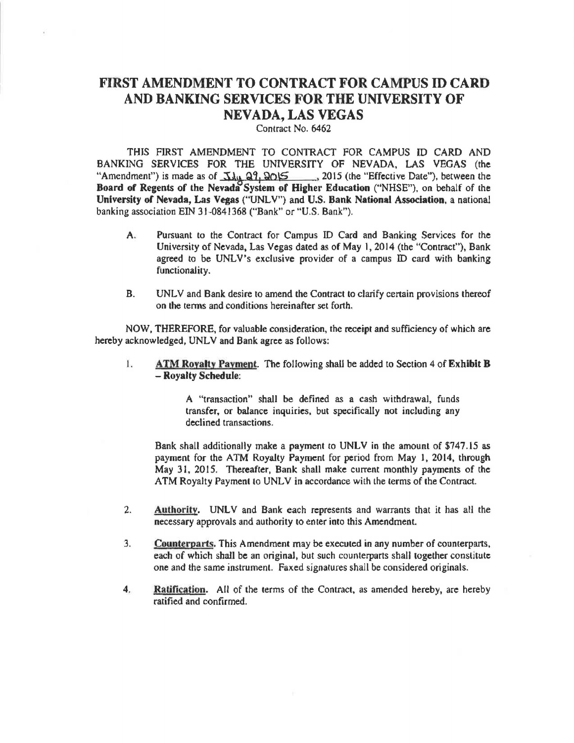## **FIRST AMENDMENT TO CONTRACT FOR CAMPUS ID CARD AND BANKING SERVICES FOR THE UNIVERSITY OF NEVADA, LAS VEGAS**

Contract No. 6462

THIS FIRST AMENDMENT TO CONTRACT FOR CAMPUS ID CARD AND BANKING SERVICES FOR THE UNIVERSITY OF NEVADA, LAS VEGAS (the "Amendment") is made as of  $\frac{1}{\sqrt{1}}$   $\frac{27}{12015}$ , 2015 (the "Effective Date"), between the **Board of Regents of the Nevada System of Higher Education** (''NHSE"), on behalf of the **University of Nevada, Las Vegas** ("UNLV") and **U.S. Bank National Association,** a national banking association EIN 31-0841368 ("Bank" or "U.S. Bank").

- A. Pursuant to the Contract for Campus ID Card and Banking Services for the University of Nevada. Las Vegas dated as of May I, 2014 (the "Contract"), Bank agreed to be UNLV's exclusive provider of a campus ID card with banking functionality.
- B. UNLV and Bank desire to amend the Contract to clarify certain provisions thereof on the tenns and conditions hereinafter set forth.

NOW, THEREFORE, for valuable consideration, the **receipt** and sufficiency of which are hereby acknowledged, UNLV and Bank agree as follows:

I. **ATM Royalty Payment.** The following shall be added to Section 4 of **Exhibit B**  - **Royalty Schedule:** 

> A "transaction" shall be defined as a cash withdrawal, funds transfer, or balance inquiries, but specifically not including any declined transactions.

Bank shall additionally make a payment to UNLV in the amount of \$747.15 as payment for the ATM Royalty Payment for period from May l, 2014, through May 31, 2015. Thereafter, Bank shall make current monthly payments of the ATM Royalty Payment to UNLV in accordance with the terms of the Contract.

- 2. Authority. UNLV and Bank each represents and warrants that it has all the necessary approvals and authority to enter into this Amendment.
- 3. **Counterparts.** This Amendment may be executed in any number of counterparts, each of which shall be an original, but such counterparts shall together constitute one and the same instrument. Faxed signatures shall be considered originals.
- 4. **Ratification.** All of the terms of the Contract. as amended hereby, are hereby ratified and confirmed.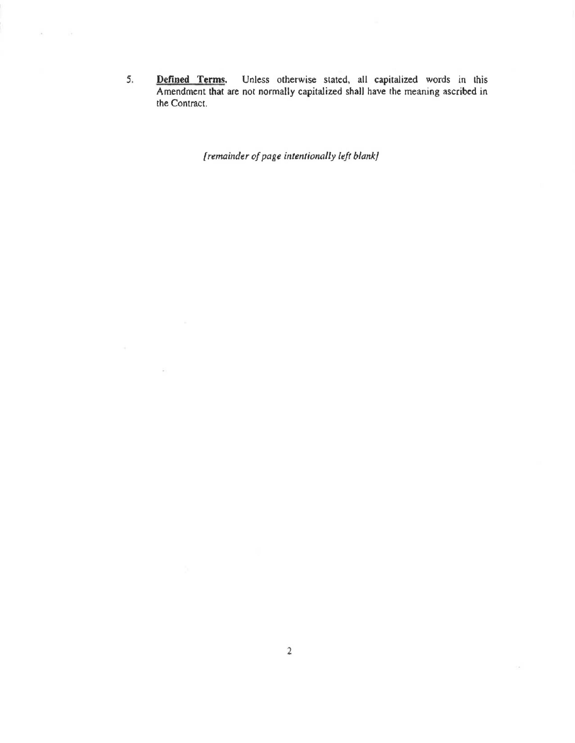*5.* **Defined Terms.** Unless otherwise stated, all capitalized words in this Amendment that are not normally capitalized shall have the meaning ascribed in the Contract.

*{remainder of page intentionally left blank}* 

 $\widehat{R}$  ).

 $\mathbf{r}_1$  ,  $\mathbf{r}_2$  ,  $\mathbf{r}_3$ 

 $\mathcal{D}(\mathcal{A})$